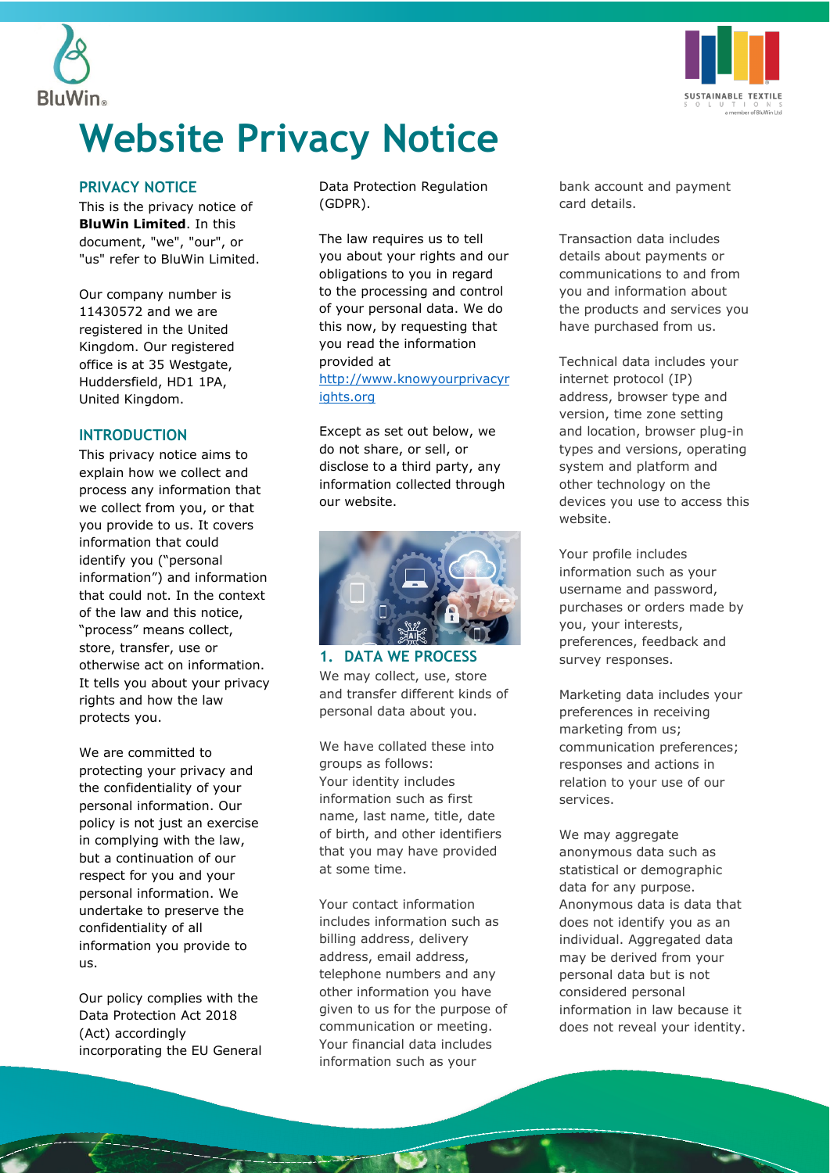



# **Website Privacy Notice**

#### **PRIVACY NOTICE**

This is the privacy notice of **BluWin Limited**. In this document, "we", "our", or "us" refer to BluWin Limited.

Our company number is 11430572 and we are registered in the United Kingdom. Our registered office is at 35 Westgate, Huddersfield, HD1 1PA, United Kingdom.

#### **INTRODUCTION**

This privacy notice aims to explain how we collect and process any information that we collect from you, or that you provide to us. It covers information that could identify you ("personal information") and information that could not. In the context of the law and this notice, "process" means collect, store, transfer, use or otherwise act on information. It tells you about your privacy rights and how the law protects you.

We are committed to protecting your privacy and the confidentiality of your personal information. Our policy is not just an exercise in complying with the law, but a continuation of our respect for you and your personal information. We undertake to preserve the confidentiality of all information you provide to us.

Our policy complies with the Data Protection Act 2018 (Act) accordingly incorporating the EU General Data Protection Regulation (GDPR).

The law requires us to tell you about your rights and our obligations to you in regard to the processing and control of your personal data. We do this now, by requesting that you read the information provided at [http://www.knowyourprivacyr](http://www.knowyourprivacyrights.org/) [ights.org](http://www.knowyourprivacyrights.org/) 

Except as set out below, we do not share, or sell, or disclose to a third party, any information collected through our website.



**1. DATA WE PROCESS** We may collect, use, store and transfer different kinds of personal data about you.

We have collated these into groups as follows: Your identity includes information such as first name, last name, title, date of birth, and other identifiers that you may have provided at some time.

Your contact information includes information such as billing address, delivery address, email address, telephone numbers and any other information you have given to us for the purpose of communication or meeting. Your financial data includes information such as your

bank account and payment card details.

Transaction data includes details about payments or communications to and from you and information about the products and services you have purchased from us.

Technical data includes your internet protocol (IP) address, browser type and version, time zone setting and location, browser plug-in types and versions, operating system and platform and other technology on the devices you use to access this website.

Your profile includes information such as your username and password, purchases or orders made by you, your interests, preferences, feedback and survey responses.

Marketing data includes your preferences in receiving marketing from us; communication preferences; responses and actions in relation to your use of our services.

We may aggregate anonymous data such as statistical or demographic data for any purpose. Anonymous data is data that does not identify you as an individual. Aggregated data may be derived from your personal data but is not considered personal information in law because it does not reveal your identity.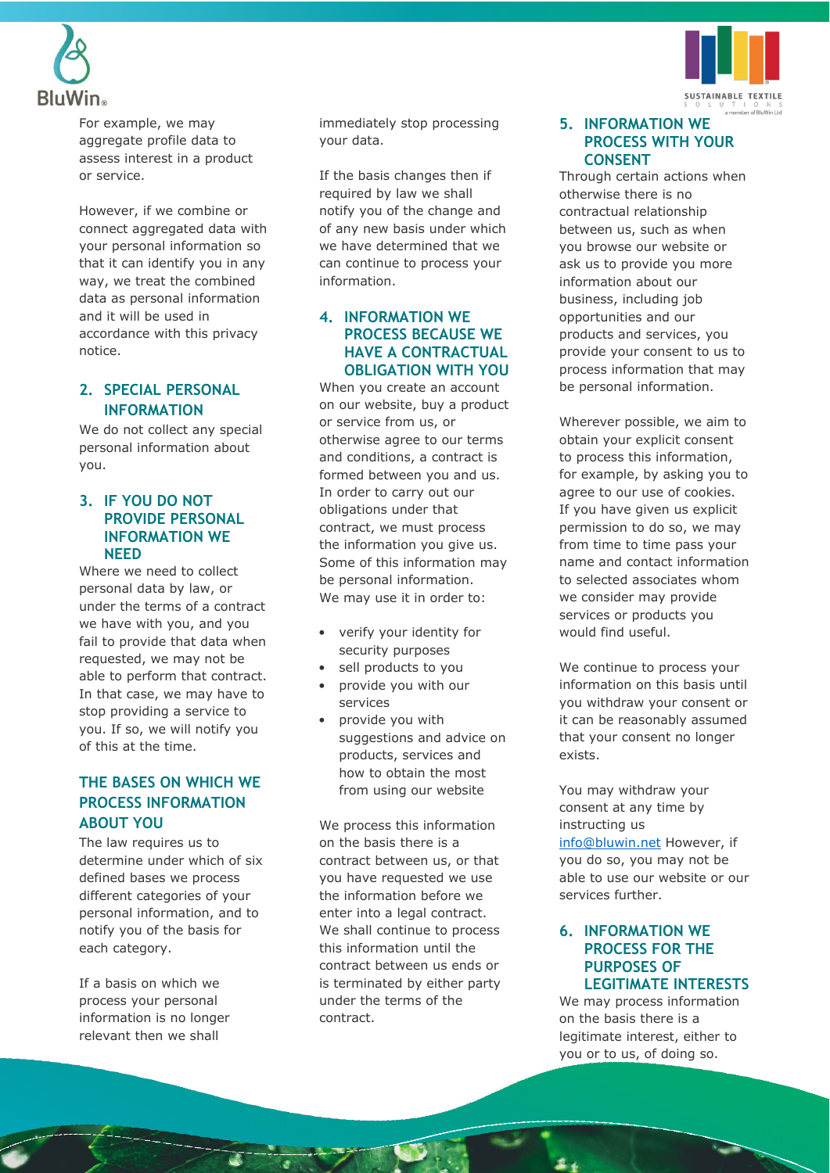



However, if we combine or connect aggregated data with your personal information so that it can identify you in any way, we treat the combined data as personal information and it will be used in accordance with this privacy notice.

# **2. SPECIAL PERSONAL INFORMATION**

We do not collect any special personal information about you.

## **3. IF YOU DO NOT PROVIDE PERSONAL INFORMATION WE NEED**

Where we need to collect personal data by law, or under the terms of a contract we have with you, and you fail to provide that data when requested, we may not be able to perform that contract. In that case, we may have to stop providing a service to you. If so, we will notify you of this at the time.

# **THE BASES ON WHICH WE PROCESS INFORMATION ABOUT YOU**

The law requires us to determine under which of six defined bases we process different categories of your personal information, and to notify you of the basis for each category.

If a basis on which we process your personal information is no longer relevant then we shall

immediately stop processing your data.

If the basis changes then if required by law we shall notify you of the change and of any new basis under which we have determined that we can continue to process your information.

# **4. INFORMATION WE PROCESS BECAUSE WE HAVE A CONTRACTUAL OBLIGATION WITH YOU**

When you create an account on our website, buy a product or service from us, or otherwise agree to our terms and conditions, a contract is formed between you and us. In order to carry out our obligations under that contract, we must process the information you give us. Some of this information may be personal information. We may use it in order to:

- verify your identity for security purposes
- sell products to you
- provide you with our services
- provide you with suggestions and advice on products, services and how to obtain the most from using our website

We process this information on the basis there is a contract between us, or that you have requested we use the information before we enter into a legal contract. We shall continue to process this information until the contract between us ends or is terminated by either party under the terms of the contract.



#### **5. INFORMATION WE PROCESS WITH YOUR CONSENT**

Through certain actions when otherwise there is no contractual relationship between us, such as when you browse our website or ask us to provide you more information about our business, including job opportunities and our products and services, you provide your consent to us to process information that may be personal information.

Wherever possible, we aim to obtain your explicit consent to process this information, for example, by asking you to agree to our use of cookies. If you have given us explicit permission to do so, we may from time to time pass your name and contact information to selected associates whom we consider may provide services or products you would find useful.

We continue to process your information on this basis until you withdraw your consent or it can be reasonably assumed that your consent no longer exists.

You may withdraw your consent at any time by instructing us [info@bluwin.net](mailto:info@bluwin.net) However, if you do so, you may not be able to use our website or our services further.

# **6. INFORMATION WE PROCESS FOR THE PURPOSES OF LEGITIMATE INTERESTS**

We may process information on the basis there is a legitimate interest, either to you or to us, of doing so.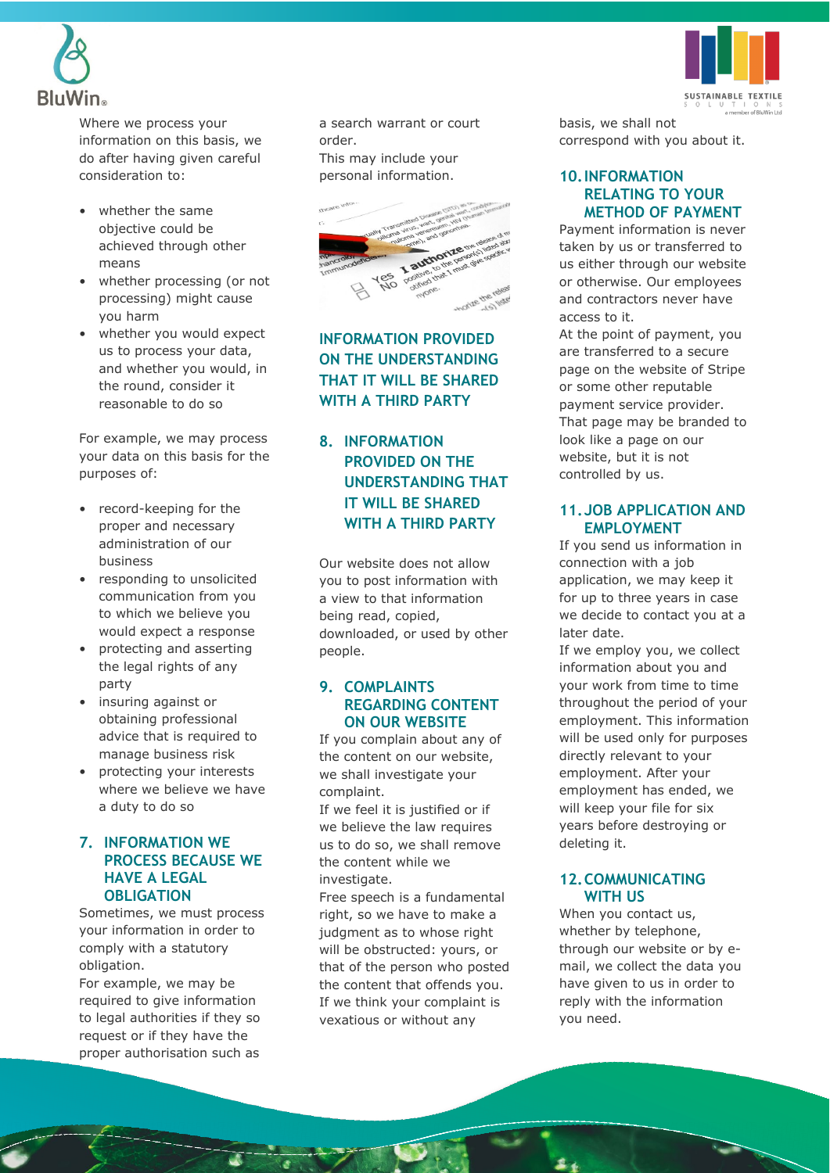

Where we process your information on this basis, we do after having given careful consideration to:

- whether the same objective could be achieved through other means
- whether processing (or not processing) might cause you harm
- whether you would expect us to process your data, and whether you would, in the round, consider it reasonable to do so

For example, we may process your data on this basis for the purposes of:

- record-keeping for the proper and necessary administration of our business
- responding to unsolicited communication from you to which we believe you would expect a response
- protecting and asserting the legal rights of any party
- insuring against or obtaining professional advice that is required to manage business risk
- protecting your interests where we believe we have a duty to do so

## **7. INFORMATION WE PROCESS BECAUSE WE HAVE A LEGAL OBLIGATION**

Sometimes, we must process your information in order to comply with a statutory obligation.

For example, we may be required to give information to legal authorities if they so request or if they have the proper authorisation such as

a search warrant or court order. This may include your personal information.



**INFORMATION PROVIDED ON THE UNDERSTANDING THAT IT WILL BE SHARED WITH A THIRD PARTY**

# **8. INFORMATION PROVIDED ON THE UNDERSTANDING THAT IT WILL BE SHARED WITH A THIRD PARTY**

Our website does not allow you to post information with a view to that information being read, copied, downloaded, or used by other people.

## **9. COMPLAINTS REGARDING CONTENT ON OUR WEBSITE**

If you complain about any of the content on our website, we shall investigate your complaint.

If we feel it is justified or if we believe the law requires us to do so, we shall remove the content while we investigate.

Free speech is a fundamental right, so we have to make a judgment as to whose right will be obstructed: yours, or that of the person who posted the content that offends you. If we think your complaint is vexatious or without any



basis, we shall not correspond with you about it.

# **10.INFORMATION RELATING TO YOUR METHOD OF PAYMENT**

Payment information is never taken by us or transferred to us either through our website or otherwise. Our employees and contractors never have access to it.

At the point of payment, you are transferred to a secure page on the website of Stripe or some other reputable payment service provider. That page may be branded to look like a page on our website, but it is not controlled by us.

## **11.JOB APPLICATION AND EMPLOYMENT**

If you send us information in connection with a job application, we may keep it for up to three years in case we decide to contact you at a later date.

If we employ you, we collect information about you and your work from time to time throughout the period of your employment. This information will be used only for purposes directly relevant to your employment. After your employment has ended, we will keep your file for six years before destroying or deleting it.

# **12.COMMUNICATING WITH US**

When you contact us, whether by telephone, through our website or by email, we collect the data you have given to us in order to reply with the information you need.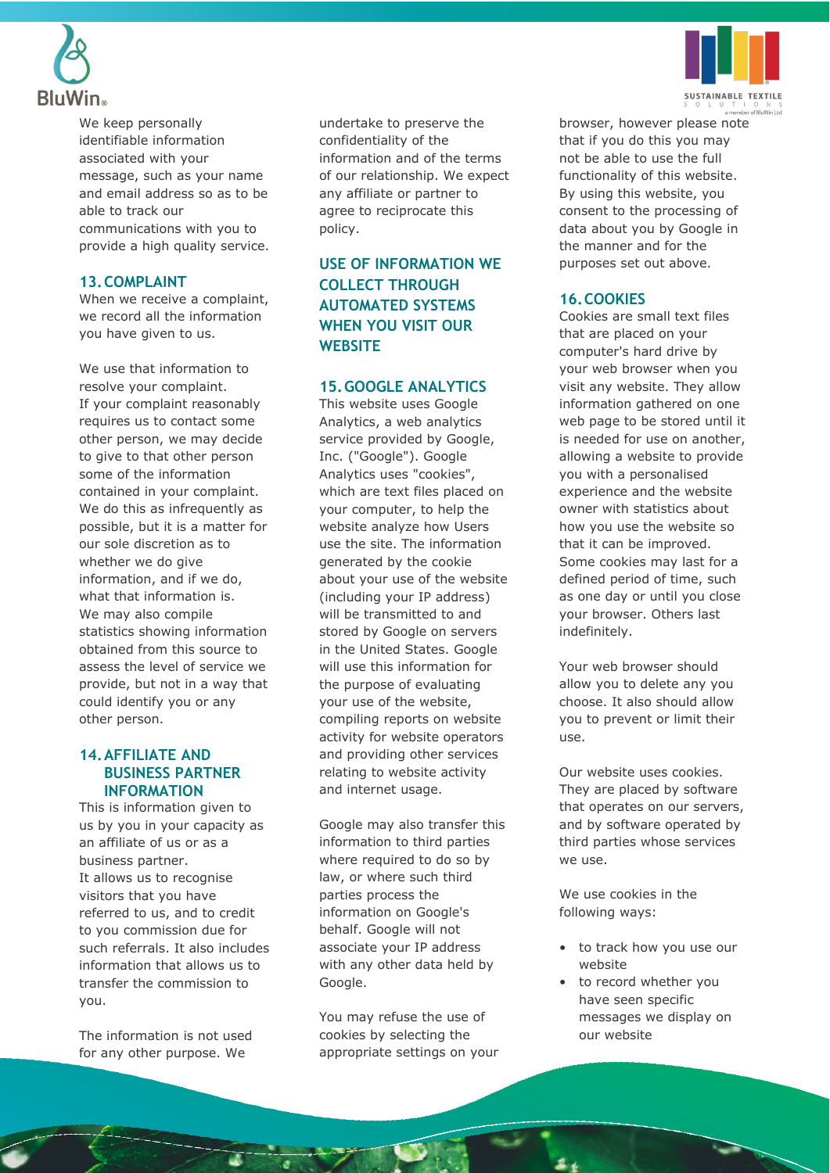

We keep personally identifiable information associated with your message, such as your name and email address so as to be able to track our communications with you to provide a high quality service.

# **13.COMPLAINT**

When we receive a complaint, we record all the information you have given to us.

We use that information to resolve your complaint. If your complaint reasonably requires us to contact some other person, we may decide to give to that other person some of the information contained in your complaint. We do this as infrequently as possible, but it is a matter for our sole discretion as to whether we do give information, and if we do, what that information is. We may also compile statistics showing information obtained from this source to assess the level of service we provide, but not in a way that could identify you or any other person.

# **14.AFFILIATE AND BUSINESS PARTNER INFORMATION**

This is information given to us by you in your capacity as an affiliate of us or as a business partner. It allows us to recognise visitors that you have referred to us, and to credit to you commission due for such referrals. It also includes information that allows us to transfer the commission to you.

The information is not used for any other purpose. We

undertake to preserve the confidentiality of the information and of the terms of our relationship. We expect any affiliate or partner to agree to reciprocate this policy.

# **USE OF INFORMATION WE COLLECT THROUGH AUTOMATED SYSTEMS WHEN YOU VISIT OUR WEBSITE**

#### **15.GOOGLE ANALYTICS**

This website uses Google Analytics, a web analytics service provided by Google, Inc. ("Google"). Google Analytics uses "cookies", which are text files placed on your computer, to help the website analyze how Users use the site. The information generated by the cookie about your use of the website (including your IP address) will be transmitted to and stored by Google on servers in the United States. Google will use this information for the purpose of evaluating your use of the website, compiling reports on website activity for website operators and providing other services relating to website activity and internet usage.

Google may also transfer this information to third parties where required to do so by law, or where such third parties process the information on Google's behalf. Google will not associate your IP address with any other data held by Google.

You may refuse the use of cookies by selecting the appropriate settings on your



browser, however please note that if you do this you may not be able to use the full functionality of this website. By using this website, you consent to the processing of data about you by Google in the manner and for the purposes set out above.

## **16.COOKIES**

Cookies are small text files that are placed on your computer's hard drive by your web browser when you visit any website. They allow information gathered on one web page to be stored until it is needed for use on another, allowing a website to provide you with a personalised experience and the website owner with statistics about how you use the website so that it can be improved. Some cookies may last for a defined period of time, such as one day or until you close your browser. Others last indefinitely.

Your web browser should allow you to delete any you choose. It also should allow you to prevent or limit their use.

Our website uses cookies. They are placed by software that operates on our servers, and by software operated by third parties whose services we use.

We use cookies in the following ways:

- to track how you use our website
- to record whether you have seen specific messages we display on our website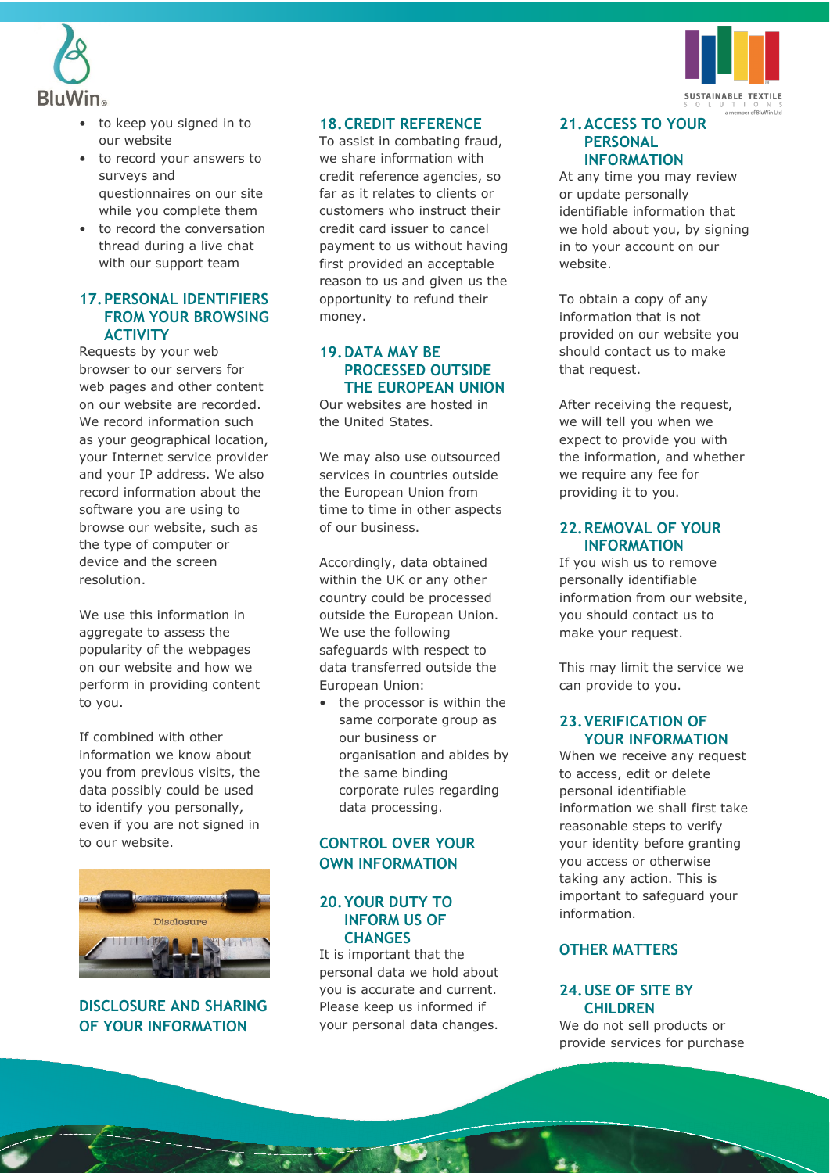



- to keep you signed in to our website
- to record your answers to surveys and questionnaires on our site while you complete them
- to record the conversation thread during a live chat with our support team

## **17.PERSONAL IDENTIFIERS FROM YOUR BROWSING ACTIVITY**

Requests by your web browser to our servers for web pages and other content on our website are recorded. We record information such as your geographical location, your Internet service provider and your IP address. We also record information about the software you are using to browse our website, such as the type of computer or device and the screen resolution.

We use this information in aggregate to assess the popularity of the webpages on our website and how we perform in providing content to you.

If combined with other information we know about you from previous visits, the data possibly could be used to identify you personally, even if you are not signed in to our website.



**DISCLOSURE AND SHARING OF YOUR INFORMATION**

#### **18.CREDIT REFERENCE**

To assist in combating fraud, we share information with credit reference agencies, so far as it relates to clients or customers who instruct their credit card issuer to cancel payment to us without having first provided an acceptable reason to us and given us the opportunity to refund their money.

# **19.DATA MAY BE PROCESSED OUTSIDE THE EUROPEAN UNION**

Our websites are hosted in the United States.

We may also use outsourced services in countries outside the European Union from time to time in other aspects of our business.

Accordingly, data obtained within the UK or any other country could be processed outside the European Union. We use the following safeguards with respect to data transferred outside the European Union:

the processor is within the same corporate group as our business or organisation and abides by the same binding corporate rules regarding data processing.

# **CONTROL OVER YOUR OWN INFORMATION**

#### **20.YOUR DUTY TO INFORM US OF CHANGES**

It is important that the personal data we hold about you is accurate and current. Please keep us informed if your personal data changes.

#### **21.ACCESS TO YOUR PERSONAL INFORMATION**

At any time you may review or update personally identifiable information that we hold about you, by signing in to your account on our website.

To obtain a copy of any information that is not provided on our website you should contact us to make that request.

After receiving the request, we will tell you when we expect to provide you with the information, and whether we require any fee for providing it to you.

#### **22.REMOVAL OF YOUR INFORMATION**

If you wish us to remove personally identifiable information from our website, you should contact us to make your request.

This may limit the service we can provide to you.

#### **23.VERIFICATION OF YOUR INFORMATION**

When we receive any request to access, edit or delete personal identifiable information we shall first take reasonable steps to verify your identity before granting you access or otherwise taking any action. This is important to safeguard your information.

# **OTHER MATTERS**

#### **24.USE OF SITE BY CHILDREN**

We do not sell products or provide services for purchase